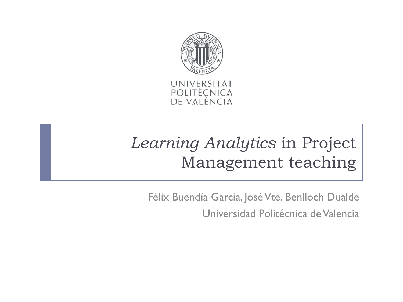

UNIVERSITAT POLITÈCNICA<br>DE VALÈNCIA

# *Learning Analytics* in Project Management teaching

Félix Buendía García, José Vte. Benlloch Dualde

Universidad Politécnica de Valencia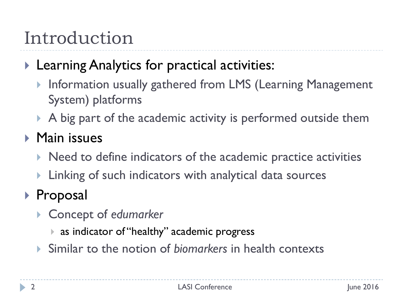# Introduction

### **Learning Analytics for practical activities:**

- ▶ Information usually gathered from LMS (Learning Management System) platforms
- A big part of the academic activity is performed outside them

### **Main issues**

- $\triangleright$  Need to define indicators of the academic practice activities
- **Linking of such indicators with analytical data sources**

## ▶ Proposal

- Concept of *edumarker*
	- as indicator of "healthy" academic progress
- Similar to the notion of *biomarkers* in health contexts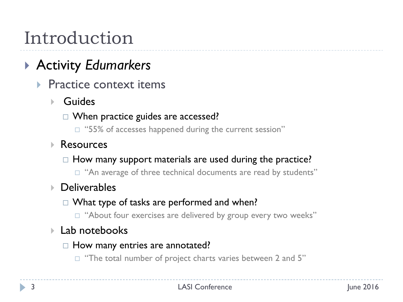# Introduction

## Activity *Edumarkers*

- Practice context items
	- Guides
		- □ When practice guides are accessed?
			- $\Box$  "55% of accesses happened during the current session"
	- **Resources** 
		- $\Box$  How many support materials are used during the practice?
			- $\Box$  "An average of three technical documents are read by students"
	- ▶ Deliverables
		- $\Box$  What type of tasks are performed and when?
			- $\Box$  "About four exercises are delivered by group every two weeks"

#### Lab notebooks

- $\Box$  How many entries are annotated?
	- $\Box$  "The total number of project charts varies between 2 and 5"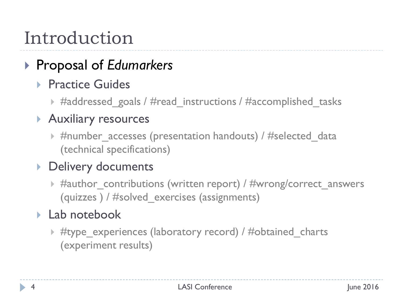# Introduction

## ▶ Proposal of *Edumarkers*

#### Practice Guides

▶ #addressed\_goals / #read\_instructions / #accomplished\_tasks

#### Auxiliary resources

 $\triangleright$  #number accesses (presentation handouts) / #selected data (technical specifications)

#### ▶ Delivery documents

 $\triangleright$  #author contributions (written report) / #wrong/correct answers (quizzes ) / #solved\_exercises (assignments)

#### ▶ Lab notebook

▶ #type\_experiences (laboratory record) / #obtained\_charts (experiment results)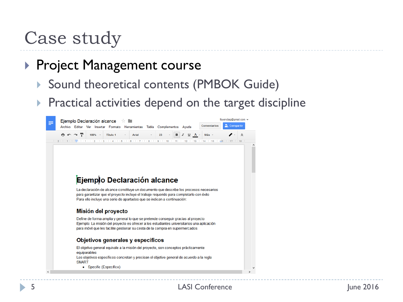## Case study

#### **Project Management course**

- ▶ Sound theoretical contents (PMBOK Guide)
- $\triangleright$  Practical activities depend on the target discipline

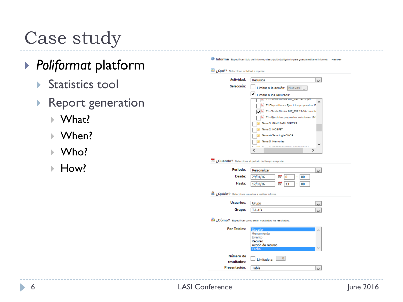# Case study

### *Poliformat* platform

- Statistics tool
- ▶ Report generation
	- ▶ What?
	- ▶ When?
	- Who?
	- ▶ How?

|                                                      | <sup>1</sup> Informe Especificar titulo del informe y descripción(obligatorio para guardarieditar el informe). Montrar |
|------------------------------------------------------|------------------------------------------------------------------------------------------------------------------------|
| ¿Qué? Seleccione actividad a reportar.               |                                                                                                                        |
| Actividad:                                           | Recursos<br>$\overline{\mathbf{v}}$                                                                                    |
| Selección:                                           | Limitar a la acción:<br>Nuevas                                                                                         |
|                                                      | Limitar a los recursos:                                                                                                |
|                                                      | TI - Teoria Utodes BJT_VAL 14-15.pdf                                                                                   |
|                                                      | T1 Dispositivos - Ejercicios propuestos 15                                                                             |
|                                                      | T1 - Teoría Diodos BJT_ESP 15-16 con nota                                                                              |
|                                                      | T1 - Ejercicios propuestos soluciones 15-1                                                                             |
|                                                      |                                                                                                                        |
|                                                      | ema 3. FAMILIAS LÓGICAS                                                                                                |
|                                                      | Rma 2. MOSFET                                                                                                          |
|                                                      | lema 4- Tecnología CMOS                                                                                                |
|                                                      | lema 5. Memorias                                                                                                       |
|                                                      |                                                                                                                        |
|                                                      | e<br>⋗                                                                                                                 |
| ¿Cuando? Seleccione el periodo de tiempo a reportar. |                                                                                                                        |
| Periodo:                                             | Personalizar<br>$\vee$                                                                                                 |
| Desde:                                               | 29/01/16<br>17<br>10<br>00                                                                                             |
| Hasta:                                               | 17/02/16<br>17<br>13<br>00                                                                                             |
|                                                      |                                                                                                                        |
| ¿Quién? Seleccione usuarios a realizar informe.      |                                                                                                                        |
| Usuarios:                                            | Grupo<br>$\overline{\phantom{a}}$                                                                                      |
| Grupo:                                               | <b>TA-1D</b>                                                                                                           |
|                                                      |                                                                                                                        |
|                                                      | ¿Cómo? Especificar como serán mostrados los resultados.                                                                |
| <b>Por Totales:</b>                                  | Usuario<br>٨                                                                                                           |
|                                                      | Herramienta                                                                                                            |
|                                                      | Evento                                                                                                                 |
|                                                      | Recurso<br>Acción de recurso                                                                                           |
|                                                      | echa                                                                                                                   |
| Número de                                            |                                                                                                                        |
| resultados:                                          | 0 <br>Limitado a:                                                                                                      |
| Presentación:                                        | Tabla                                                                                                                  |
|                                                      |                                                                                                                        |
|                                                      |                                                                                                                        |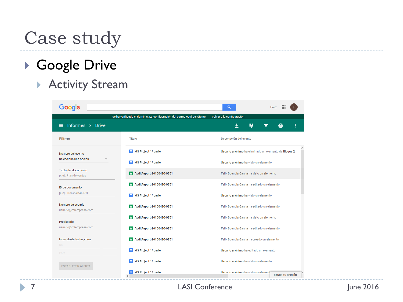## Case study

### Google Drive

#### Activity Stream

| Google                                         |                                                                          | Q<br>Felix                                                     |  |
|------------------------------------------------|--------------------------------------------------------------------------|----------------------------------------------------------------|--|
|                                                | Se ha verificado el dominio. La configuración del correo está pendiente. | Volver a la configuración                                      |  |
| Informes > Drive                               |                                                                          | ŀ<br>±<br>❷<br>Ξ                                               |  |
| <b>Filtros</b>                                 | Título                                                                   | Descripción del evento                                         |  |
| Nombre del evento<br>Selecciona una opción     | MS Project 1ª parte<br>$\equiv$                                          | Usuario anónimo ha eliminado un elemento de Bloque 2           |  |
|                                                | MS Project 1ª parte                                                      | Usuario anónimo ha visto un elemento                           |  |
| Título del documento<br>p. ej., Plan de ventas | E AuditReport-20160420-0851                                              | Felix Buendia Garcia ha visto un elemento                      |  |
| ID de documento<br>p. ej., 1RsGhAK4IJDYI       | AuditReport-20160420-0851<br>用                                           | Felix Buendia Garcia ha editado un elemento                    |  |
|                                                | MS Project 1ª parte                                                      | Usuario anónimo ha visto un elemento                           |  |
| Nombre de usuario<br>usuario@miempresa.com     | E AuditReport-20160420-0851                                              | Felix Buendia Garcia ha editado un elemento                    |  |
| Propietario                                    | AuditReport-20160420-0851                                                | Felix Buendia Garcia ha visto un elemento                      |  |
| usuario@miempresa.com                          | E AuditReport-20160420-0851                                              | Felix Buendia Garcia ha editado un elemento                    |  |
| Intervalo de fecha y hora<br>De.               | E AuditReport-20160420-0851                                              | Felix Buendia Garcia ha creado un elemento                     |  |
| Para                                           | MS Project 1ª parte                                                      | Usuario anónimo ha editado un elemento                         |  |
| <b>ESTABLECER ALERTA</b>                       | MS Project 1ª parte                                                      | Usuario anónimo ha visto un elemento                           |  |
|                                                | MS Project 1ª parte<br>$\,<$                                             | Usuario anónimo ha visto un element<br><b>DANOS TU OPINIÓN</b> |  |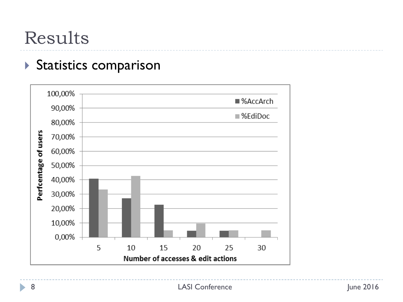## Results

#### Statistics comparison



h,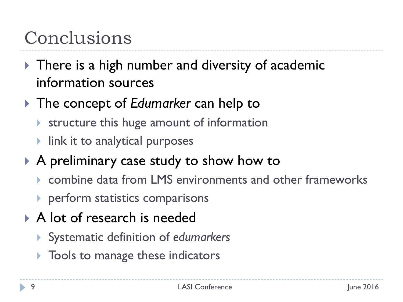# Conclusions

- ▶ There is a high number and diversity of academic information sources
- The concept of *Edumarker* can help to
	- **Structure this huge amount of information**
	- $\blacktriangleright$  link it to analytical purposes
- A preliminary case study to show how to
	- combine data from LMS environments and other frameworks
	- **P** perform statistics comparisons
- A lot of research is needed
	- Systematic definition of *edumarkers*
	- **Tools to manage these indicators**